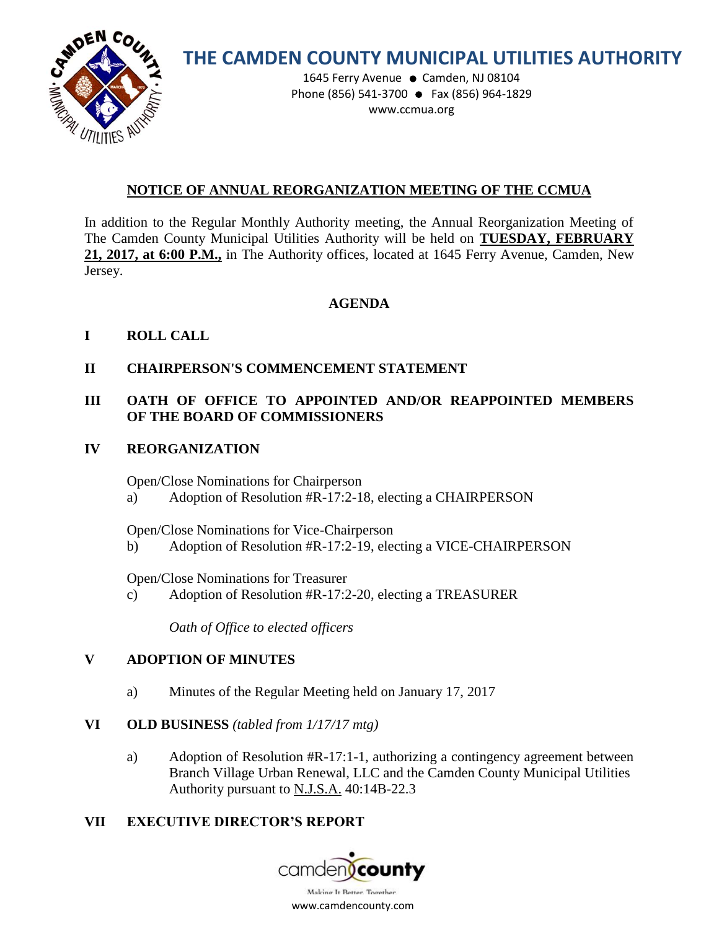

# **THE CAMDEN COUNTY MUNICIPAL UTILITIES AUTHORITY**

1645 Ferry Avenue · Camden, NJ 08104 Phone (856) 541-3700 ● Fax (856) 964-1829 www.ccmua.org

# **NOTICE OF ANNUAL REORGANIZATION MEETING OF THE CCMUA**

In addition to the Regular Monthly Authority meeting, the Annual Reorganization Meeting of The Camden County Municipal Utilities Authority will be held on **TUESDAY, FEBRUARY 21, 2017, at 6:00 P.M.,** in The Authority offices, located at 1645 Ferry Avenue, Camden, New Jersey.

## **AGENDA**

# **I ROLL CALL**

**II CHAIRPERSON'S COMMENCEMENT STATEMENT**

# **III OATH OF OFFICE TO APPOINTED AND/OR REAPPOINTED MEMBERS OF THE BOARD OF COMMISSIONERS**

## **IV REORGANIZATION**

Open/Close Nominations for Chairperson

a) Adoption of Resolution #R-17:2-18, electing a CHAIRPERSON

Open/Close Nominations for Vice-Chairperson

b) Adoption of Resolution #R-17:2-19, electing a VICE-CHAIRPERSON

Open/Close Nominations for Treasurer

c) Adoption of Resolution #R-17:2-20, electing a TREASURER

*Oath of Office to elected officers*

# **V ADOPTION OF MINUTES**

a) Minutes of the Regular Meeting held on January 17, 2017

## **VI OLD BUSINESS** *(tabled from 1/17/17 mtg)*

a) Adoption of Resolution #R-17:1-1, authorizing a contingency agreement between Branch Village Urban Renewal, LLC and the Camden County Municipal Utilities Authority pursuant to N.J.S.A. 40:14B-22.3

# **VII EXECUTIVE DIRECTOR'S REPORT**

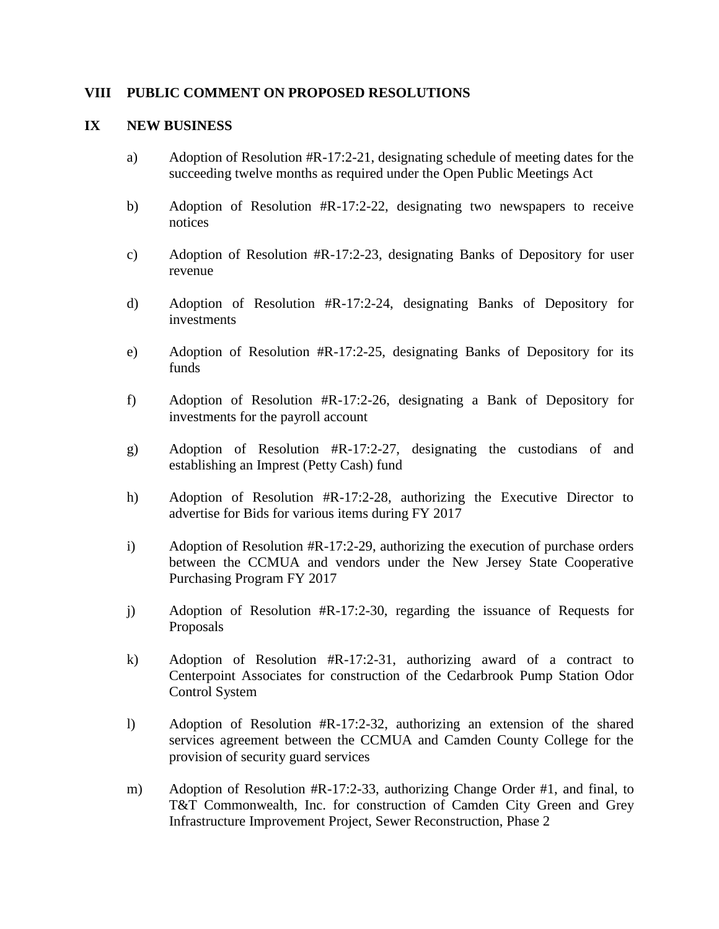#### **VIII PUBLIC COMMENT ON PROPOSED RESOLUTIONS**

#### **IX NEW BUSINESS**

- a) Adoption of Resolution #R-17:2-21, designating schedule of meeting dates for the succeeding twelve months as required under the Open Public Meetings Act
- b) Adoption of Resolution #R-17:2-22, designating two newspapers to receive notices
- c) Adoption of Resolution #R-17:2-23, designating Banks of Depository for user revenue
- d) Adoption of Resolution #R-17:2-24, designating Banks of Depository for investments
- e) Adoption of Resolution #R-17:2-25, designating Banks of Depository for its funds
- f) Adoption of Resolution #R-17:2-26, designating a Bank of Depository for investments for the payroll account
- g) Adoption of Resolution #R-17:2-27, designating the custodians of and establishing an Imprest (Petty Cash) fund
- h) Adoption of Resolution #R-17:2-28, authorizing the Executive Director to advertise for Bids for various items during FY 2017
- i) Adoption of Resolution #R-17:2-29, authorizing the execution of purchase orders between the CCMUA and vendors under the New Jersey State Cooperative Purchasing Program FY 2017
- j) Adoption of Resolution #R-17:2-30, regarding the issuance of Requests for Proposals
- k) Adoption of Resolution #R-17:2-31, authorizing award of a contract to Centerpoint Associates for construction of the Cedarbrook Pump Station Odor Control System
- l) Adoption of Resolution #R-17:2-32, authorizing an extension of the shared services agreement between the CCMUA and Camden County College for the provision of security guard services
- m) Adoption of Resolution #R-17:2-33, authorizing Change Order #1, and final, to T&T Commonwealth, Inc. for construction of Camden City Green and Grey Infrastructure Improvement Project, Sewer Reconstruction, Phase 2